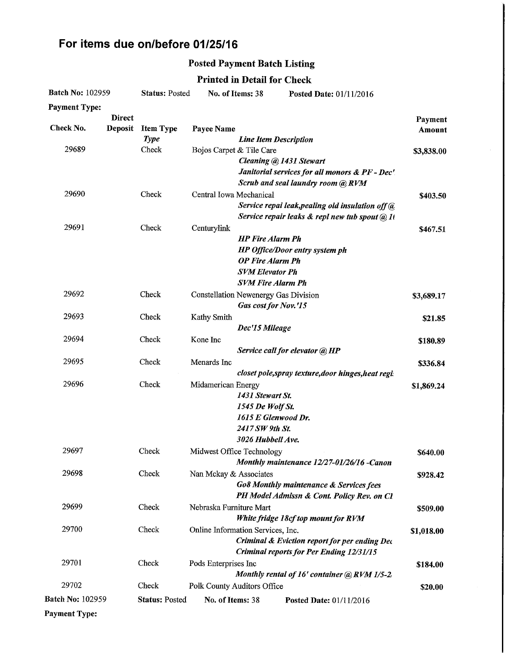# For items due on/before 01/25/16

### Posted Payment Batch Listing

### Printed in Detail for Check

| <b>Batch No: 102959</b> |                                 | <b>Status: Posted</b>           | No. of Items: 38         |                                                                                                          | Posted Date: 01/11/2016                                                                           |                   |
|-------------------------|---------------------------------|---------------------------------|--------------------------|----------------------------------------------------------------------------------------------------------|---------------------------------------------------------------------------------------------------|-------------------|
| <b>Payment Type:</b>    |                                 |                                 |                          |                                                                                                          |                                                                                                   |                   |
| Check No.               | <b>Direct</b><br><b>Deposit</b> | <b>Item Type</b><br><b>Type</b> | Payee Name               | <b>Line Item Description</b>                                                                             |                                                                                                   | Payment<br>Amount |
| 29689                   |                                 | Check                           | Bojos Carpet & Tile Care | Cleaning @ 1431 Stewart                                                                                  | Janitorial services for all monors & PF - Dec'<br>Scrub and seal laundry room (a) RVM             | \$3,838.00        |
| 29690                   |                                 | Check                           | Central Iowa Mechanical  |                                                                                                          | Service repai leak, pealing old insulation off @<br>Service repair leaks & repl new tub spout @ 1 | \$403.50          |
| 29691                   |                                 | Check                           | Centurylink              | <b>HP</b> Fire Alarm Ph<br><b>OP Fire Alarm Ph</b><br><b>SVM Elevator Ph</b><br><b>SVM Fire Alarm Ph</b> | HP Office/Door entry system ph                                                                    | \$467.51          |
| 29692                   |                                 | Check                           |                          | <b>Constellation Newenergy Gas Division</b><br>Gas cost for Nov.'15                                      |                                                                                                   | \$3,689.17        |
| 29693                   |                                 | Check                           | Kathy Smith              | Dec'15 Mileage                                                                                           |                                                                                                   | \$21.85           |
| 29694                   |                                 | Check                           | Kone Inc                 |                                                                                                          | Service call for elevator @ HP                                                                    | \$180.89          |
| 29695                   |                                 | Check                           | Menards Inc              |                                                                                                          | closet pole, spray texture, door hinges, heat regis                                               | \$336.84          |
| 29696                   |                                 | Check                           | Midamerican Energy       | 1431 Stewart St.<br>1545 De Wolf St.<br>1615 E Glenwood Dr.<br>2417 SW 9th St.<br>3026 Hubbell Ave.      |                                                                                                   | \$1,869.24        |
| 29697                   |                                 | Check                           |                          | Midwest Office Technology                                                                                | Monthly maintenance 12/27-01/26/16 -Canon                                                         | \$640.00          |
| 29698                   |                                 | Check                           | Nan Mckay & Associates   |                                                                                                          | <b>Go8 Monthly maintenance &amp; Services fees</b><br>PH Model Admissn & Cont. Policy Rev. on Cl  | \$928.42          |
| 29699                   |                                 | Check                           | Nebraska Furniture Mart  |                                                                                                          | White fridge 18cf top mount for RVM                                                               | \$509.00          |
| 29700                   |                                 | Check                           |                          | Online Information Services, Inc.                                                                        | Criminal & Eviction report for per ending Dec<br><b>Criminal reports for Per Ending 12/31/15</b>  | \$1,018.00        |
| 29701                   |                                 | Check                           | Pods Enterprises Inc     |                                                                                                          | Monthly rental of 16' container @ RVM 1/5-2/                                                      | \$184.00          |
| 29702                   |                                 | Check                           |                          | Polk County Auditors Office                                                                              |                                                                                                   | \$20.00           |
| <b>Batch No: 102959</b> |                                 | <b>Status: Posted</b>           | No. of Items: 38         |                                                                                                          | Posted Date: 01/11/2016                                                                           |                   |
| <b>Payment Type:</b>    |                                 |                                 |                          |                                                                                                          |                                                                                                   |                   |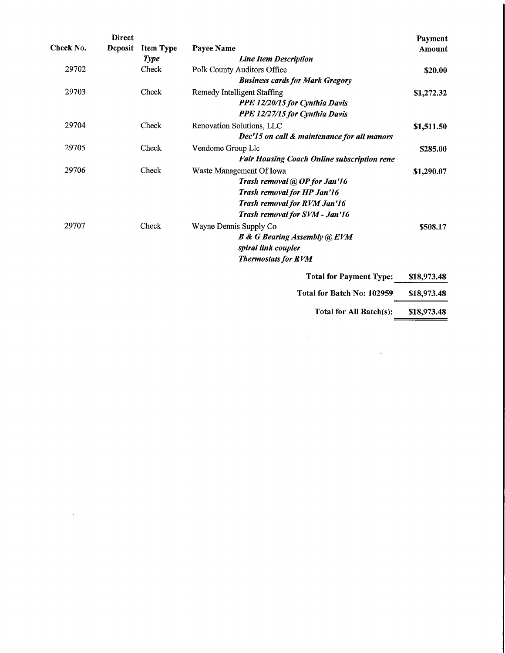|           | <b>Direct</b>  |                  |                                                    | Payment     |
|-----------|----------------|------------------|----------------------------------------------------|-------------|
| Check No. | <b>Deposit</b> | <b>Item Type</b> | Payee Name                                         | Amount      |
|           |                | <b>Type</b>      | <b>Line Item Description</b>                       |             |
| 29702     |                | Check            | Polk County Auditors Office                        | \$20.00     |
|           |                |                  | <b>Business cards for Mark Gregory</b>             |             |
| 29703     |                | Check            | Remedy Intelligent Staffing                        | \$1,272.32  |
|           |                |                  | PPE 12/20/15 for Cynthia Davis                     |             |
|           |                |                  | PPE 12/27/15 for Cynthia Davis                     |             |
| 29704     |                | Check            | Renovation Solutions, LLC                          | \$1,511.50  |
|           |                |                  | Dec'15 on call & maintenance for all manors        |             |
| 29705     |                | Check            | Vendome Group Llc                                  | \$285.00    |
|           |                |                  | <b>Fair Housing Coach Online subscription rene</b> |             |
| 29706     |                | Check            | Waste Management Of Iowa                           | \$1,290.07  |
|           |                |                  | Trash removal @ OP for Jan'16                      |             |
|           |                |                  | Trash removal for HP Jan'16                        |             |
|           |                |                  | Trash removal for RVM Jan'16                       |             |
|           |                |                  | Trash removal for SVM - Jan'16                     |             |
| 29707     |                | Check            | Wayne Dennis Supply Co                             | \$508.17    |
|           |                |                  | <b>B &amp; G Bearing Assembly @ EVM</b>            |             |
|           |                |                  | spiral link coupler                                |             |
|           |                |                  | <b>Thermostats for RVM</b>                         |             |
|           |                |                  | <b>Total for Payment Type:</b>                     | \$18,973.48 |
|           |                |                  | Total for Batch No: 102959                         | \$18,973.48 |

 $\mathcal{L}^{\pm}$ 

Total for All Batch(s): \$18,973.48

 $\hat{\mathcal{A}}$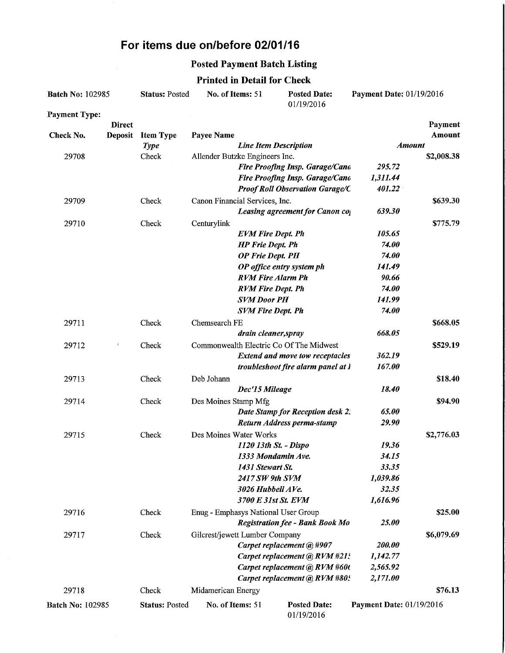## For items due on/before 02/01/16

### Posted Payment Batch Listing

### Printed in Detail for Check

| <b>Batch No: 102985</b> |                | <b>Status: Posted</b> | No. of Items: 51                    |                              | Payment Date: 01/19/2016<br><b>Posted Date:</b><br>01/19/2016 |                          |            |
|-------------------------|----------------|-----------------------|-------------------------------------|------------------------------|---------------------------------------------------------------|--------------------------|------------|
| <b>Payment Type:</b>    |                |                       |                                     |                              |                                                               |                          |            |
|                         | <b>Direct</b>  |                       |                                     |                              |                                                               |                          | Payment    |
| Check No.               | <b>Deposit</b> | <b>Item Type</b>      | Payee Name                          |                              |                                                               |                          | Amount     |
|                         |                | <b>Type</b>           |                                     | <b>Line Item Description</b> |                                                               |                          | Amount     |
| 29708                   |                | Check                 | Allender Butzke Engineers Inc.      |                              |                                                               |                          | \$2,008.38 |
|                         |                |                       |                                     |                              | Fire Proofing Insp. Garage/Cano                               | 295.72                   |            |
|                         |                |                       |                                     |                              | Fire Proofing Insp. Garage/Cano                               | 1,311.44                 |            |
|                         |                |                       |                                     |                              | <b>Proof Roll Observation Garage/C</b>                        | 401.22                   |            |
| 29709                   |                | Check                 | Canon Financial Services, Inc.      |                              |                                                               |                          | \$639.30   |
|                         |                |                       |                                     |                              | Leasing agreement for Canon co                                | 639.30                   |            |
| 29710                   |                | Check                 | Centurylink                         |                              |                                                               |                          | \$775.79   |
|                         |                |                       |                                     | <b>EVM Fire Dept. Ph</b>     |                                                               | 105.65                   |            |
|                         |                |                       |                                     | <b>HP Frie Dept. Ph</b>      |                                                               | 74.00                    |            |
|                         |                |                       |                                     | <b>OP Frie Dept. PH</b>      |                                                               | 74.00                    |            |
|                         |                |                       |                                     |                              | OP office entry system ph                                     | 141.49                   |            |
|                         |                |                       |                                     | <b>RVM Fire Alarm Ph</b>     |                                                               | 90.66                    |            |
|                         |                |                       |                                     | <b>RVM Fire Dept. Ph</b>     |                                                               | 74.00                    |            |
|                         |                |                       |                                     | <b>SVM Door PH</b>           |                                                               | 141.99                   |            |
|                         |                |                       |                                     | <b>SVM Fire Dept. Ph</b>     |                                                               | 74.00                    |            |
| 29711                   |                | Check                 | Chemsearch FE                       |                              |                                                               |                          | \$668.05   |
|                         |                |                       |                                     | drain cleaner, spray         |                                                               | 668.05                   |            |
| 29712                   |                | Check                 |                                     |                              | Commonwealth Electric Co Of The Midwest                       |                          | \$529.19   |
|                         |                |                       |                                     |                              | <b>Extend and move tow receptacles</b>                        | 362.19                   |            |
|                         |                |                       |                                     |                              | troubleshoot fire alarm panel at l                            | 167.00                   |            |
| 29713                   |                | Check                 | Deb Johann                          |                              |                                                               |                          | \$18.40    |
|                         |                |                       |                                     | Dec'15 Mileage               |                                                               | 18.40                    |            |
| 29714                   |                | Check                 | Des Moines Stamp Mfg                |                              |                                                               |                          | \$94.90    |
|                         |                |                       |                                     |                              | Date Stamp for Reception desk 2.                              | 65.00                    |            |
|                         |                |                       |                                     |                              | Return Address perma-stamp                                    | 29.90                    |            |
| 29715                   |                | Check                 | Des Moines Water Works              |                              |                                                               |                          | \$2,776.03 |
|                         |                |                       |                                     | 1120 13th St. - Dispo        |                                                               | 19.36                    |            |
|                         |                |                       |                                     | 1333 Mondamin Ave.           |                                                               | 34.15                    |            |
|                         |                |                       |                                     | 1431 Stewart St.             |                                                               | 33.35                    |            |
|                         |                |                       |                                     | 2417 SW 9th SVM              |                                                               | 1,039.86                 |            |
|                         |                |                       |                                     | 3026 Hubbell AVe.            |                                                               | 32.35                    |            |
|                         |                |                       |                                     | 3700 E 31st St. EVM          |                                                               | 1,616.96                 |            |
| 29716                   |                | Check                 | Enug - Emphasys National User Group |                              |                                                               |                          | \$25.00    |
|                         |                |                       |                                     |                              | <b>Registration fee - Bank Book Mo</b>                        | 25.00                    |            |
| 29717                   |                | Check                 | Gilcrest/jewett Lumber Company      |                              |                                                               |                          | \$6,079.69 |
|                         |                |                       |                                     |                              | Carpet replacement @ #907                                     | 200.00                   |            |
|                         |                |                       |                                     |                              | Carpet replacement @ RVM #21:                                 | 1,142.77                 |            |
|                         |                |                       |                                     |                              | Carpet replacement @ RVM #60t                                 | 2,565.92                 |            |
|                         |                |                       |                                     |                              | Carpet replacement @ RVM #805                                 | 2,171.00                 |            |
| 29718                   |                | Check                 | Midamerican Energy                  |                              |                                                               |                          | \$76.13    |
|                         |                |                       | No. of Items: 51                    |                              | <b>Posted Date:</b>                                           |                          |            |
| <b>Batch No: 102985</b> |                | <b>Status: Posted</b> |                                     |                              | 01/19/2016                                                    | Payment Date: 01/19/2016 |            |